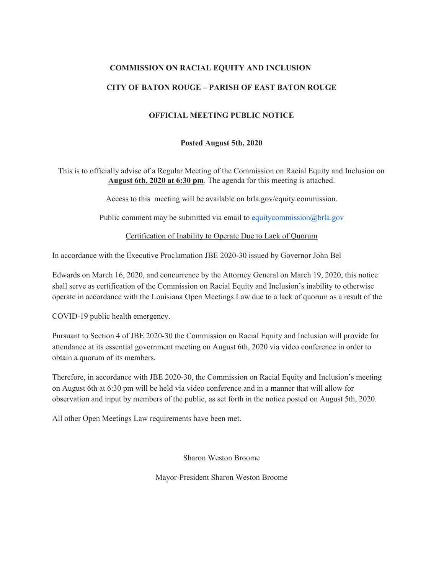## **COMMISSION ON RACIAL EQUITY AND INCLUSION**

#### **CITY OF BATON ROUGE – PARISH OF EAST BATON ROUGE**

### **OFFICIAL MEETING PUBLIC NOTICE**

#### **Posted August 5th, 2020**

This is to officially advise of a Regular Meeting of the Commission on Racial Equity and Inclusion on **August 6th, 2020 at 6:30 pm**. The agenda for this meeting is attached.

Access to this meeting will be available on brla.gov/equity.commission.

Public comment may be submitted via email to [equitycommission@brla.gov](mailto:equitycommission@brla.gov)

Certification of Inability to Operate Due to Lack of Quorum

In accordance with the Executive Proclamation JBE 2020-30 issued by Governor John Bel

Edwards on March 16, 2020, and concurrence by the Attorney General on March 19, 2020, this notice shall serve as certification of the Commission on Racial Equity and Inclusion's inability to otherwise operate in accordance with the Louisiana Open Meetings Law due to a lack of quorum as a result of the

COVID-19 public health emergency.

Pursuant to Section 4 of JBE 2020-30 the Commission on Racial Equity and Inclusion will provide for attendance at its essential government meeting on August 6th, 2020 via video conference in order to obtain a quorum of its members.

Therefore, in accordance with JBE 2020-30, the Commission on Racial Equity and Inclusion's meeting on August 6th at 6:30 pm will be held via video conference and in a manner that will allow for observation and input by members of the public, as set forth in the notice posted on August 5th, 2020.

All other Open Meetings Law requirements have been met.

Sharon Weston Broome

Mayor-President Sharon Weston Broome